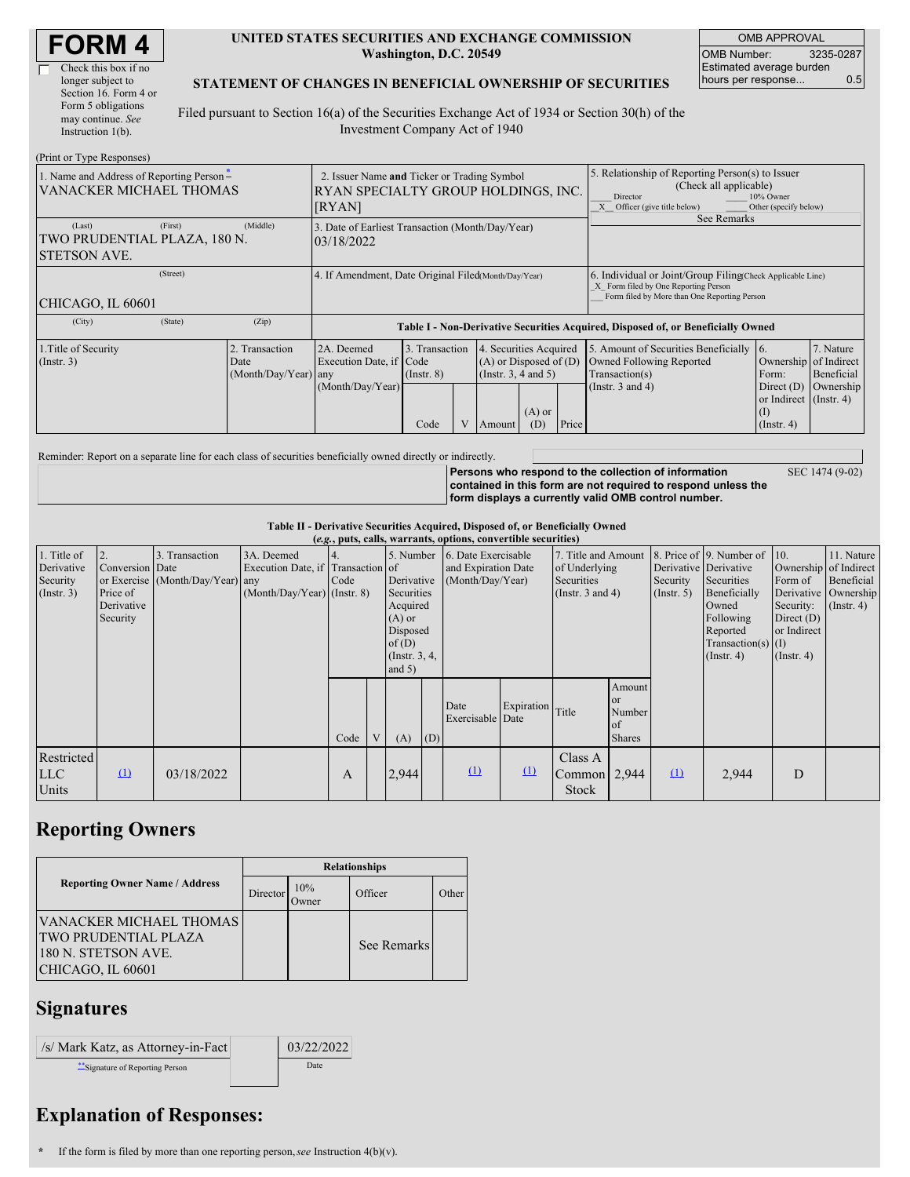| <b>FORM 4</b> |
|---------------|
|---------------|

 $\Box$ 

| Check this box if no  |
|-----------------------|
| longer subject to     |
| Section 16. Form 4 or |
| Form 5 obligations    |
| may continue. See     |
| Instruction $1(b)$ .  |
|                       |

#### **UNITED STATES SECURITIES AND EXCHANGE COMMISSION Washington, D.C. 20549**

OMB APPROVAL OMB Number: 3235-0287 Estimated average burden hours per response... 0.5

### **STATEMENT OF CHANGES IN BENEFICIAL OWNERSHIP OF SECURITIES**

Filed pursuant to Section 16(a) of the Securities Exchange Act of 1934 or Section 30(h) of the Investment Company Act of 1940

| (Print or Type Responses)                                                     |                                                                                              |                                                |                                                                |                                                                                                                                             |  |        |                                                                                                                                                            |       |                                                                                                                                                    |                                                                                                     |                         |  |
|-------------------------------------------------------------------------------|----------------------------------------------------------------------------------------------|------------------------------------------------|----------------------------------------------------------------|---------------------------------------------------------------------------------------------------------------------------------------------|--|--------|------------------------------------------------------------------------------------------------------------------------------------------------------------|-------|----------------------------------------------------------------------------------------------------------------------------------------------------|-----------------------------------------------------------------------------------------------------|-------------------------|--|
| 1. Name and Address of Reporting Person-<br><b>VANACKER MICHAEL THOMAS</b>    | 2. Issuer Name and Ticker or Trading Symbol<br>RYAN SPECIALTY GROUP HOLDINGS, INC.<br>[RYAN] |                                                |                                                                |                                                                                                                                             |  |        | 5. Relationship of Reporting Person(s) to Issuer<br>(Check all applicable)<br>Director<br>10% Owner<br>Other (specify below)<br>Officer (give title below) |       |                                                                                                                                                    |                                                                                                     |                         |  |
| (Middle)<br>(Last)<br>(First)<br>TWO PRUDENTIAL PLAZA, 180 N.<br>STETSON AVE. |                                                                                              |                                                | 3. Date of Earliest Transaction (Month/Day/Year)<br>03/18/2022 |                                                                                                                                             |  |        |                                                                                                                                                            |       | See Remarks                                                                                                                                        |                                                                                                     |                         |  |
| (Street)<br>CHICAGO, IL 60601                                                 |                                                                                              |                                                | 4. If Amendment, Date Original Filed(Month/Day/Year)           |                                                                                                                                             |  |        |                                                                                                                                                            |       | 6. Individual or Joint/Group Filing(Check Applicable Line)<br>X Form filed by One Reporting Person<br>Form filed by More than One Reporting Person |                                                                                                     |                         |  |
| (City)                                                                        | (State)<br>(Zip)                                                                             |                                                |                                                                |                                                                                                                                             |  |        | Table I - Non-Derivative Securities Acquired, Disposed of, or Beneficially Owned                                                                           |       |                                                                                                                                                    |                                                                                                     |                         |  |
| 1. Title of Security<br>$($ Instr. 3 $)$                                      |                                                                                              | 2. Transaction<br>Date<br>(Month/Day/Year) any | 2A. Deemed<br>Execution Date, if Code<br>(Month/Day/Year)      | 3. Transaction<br>Securities Acquired<br>$\overline{4}$<br>$(A)$ or Disposed of $(D)$<br>(Instr. 3, 4 and 5)<br>$($ Instr. $8)$<br>$(A)$ or |  |        |                                                                                                                                                            |       | 5. Amount of Securities Beneficially<br>Owned Following Reported<br>Transaction(s)<br>(Instr. $3$ and $4$ )                                        | 16.<br>Ownership of Indirect<br>Form:<br>Direct (D) Ownership<br>or Indirect (Instr. 4)<br>$\rm(I)$ | 7. Nature<br>Beneficial |  |
|                                                                               |                                                                                              |                                                |                                                                | Code                                                                                                                                        |  | Amount | (D)                                                                                                                                                        | Price |                                                                                                                                                    | $($ Instr. 4 $)$                                                                                    |                         |  |

Reminder: Report on a separate line for each class of securities beneficially owned directly or indirectly.

**Persons who respond to the collection of information contained in this form are not required to respond unless the form displays a currently valid OMB control number.**

SEC 1474 (9-02)

### **Table II - Derivative Securities Acquired, Disposed of, or Beneficially Owned**

|                                                      | (e.g., puts, calls, warrants, options, convertible securities) |                                                    |                                                                                  |             |   |                                                                                                                      |     |                                                                |            |                                                                             |                                                          |                              |                                                                                                                                                                   |                                                                                       |                                                                                    |
|------------------------------------------------------|----------------------------------------------------------------|----------------------------------------------------|----------------------------------------------------------------------------------|-------------|---|----------------------------------------------------------------------------------------------------------------------|-----|----------------------------------------------------------------|------------|-----------------------------------------------------------------------------|----------------------------------------------------------|------------------------------|-------------------------------------------------------------------------------------------------------------------------------------------------------------------|---------------------------------------------------------------------------------------|------------------------------------------------------------------------------------|
| 1. Title of<br>Derivative<br>Security<br>(Insert. 3) | Conversion Date<br>Price of<br>Derivative<br>Security          | 3. Transaction<br>or Exercise (Month/Day/Year) any | 3A. Deemed<br>Execution Date, if Transaction of<br>$(Month/Day/Year)$ (Instr. 8) | 14.<br>Code |   | 5. Number<br>Derivative<br>Securities<br>Acquired<br>$(A)$ or<br>Disposed<br>of $(D)$<br>(Instr. $3, 4,$<br>and $5)$ |     | 6. Date Exercisable<br>and Expiration Date<br>(Month/Day/Year) |            | 7. Title and Amount<br>of Underlying<br>Securities<br>(Instr. $3$ and $4$ ) |                                                          | Security<br>$($ Instr. 5 $)$ | 8. Price of 9. Number of 10.<br>Derivative Derivative<br>Securities<br>Beneficially<br>Owned<br>Following<br>Reported<br>$Transaction(s)$ (I)<br>$($ Instr. 4 $)$ | Form of<br>Derivative<br>Security:<br>Direct $(D)$<br>or Indirect<br>$($ Instr. 4 $)$ | 11. Nature<br>Ownership of Indirect<br>Beneficial<br>Ownership<br>$($ Instr. 4 $)$ |
|                                                      |                                                                |                                                    |                                                                                  | Code        | V | (A)                                                                                                                  | (D) | Date<br>Exercisable Date                                       | Expiration | Title                                                                       | Amount<br><sub>or</sub><br>Number<br>of<br><b>Shares</b> |                              |                                                                                                                                                                   |                                                                                       |                                                                                    |
| Restricted<br><b>LLC</b><br>Units                    | $\Omega$                                                       | 03/18/2022                                         |                                                                                  | A           |   | 2,944                                                                                                                |     | $\Omega$                                                       | $\Omega$   | Class A<br>Common $\vert 2.944 \vert$<br>Stock                              |                                                          | $\mathbf{u}$                 | 2,944                                                                                                                                                             | D                                                                                     |                                                                                    |

# **Reporting Owners**

|                                                                                                    | <b>Relationships</b> |              |             |       |  |  |  |  |
|----------------------------------------------------------------------------------------------------|----------------------|--------------|-------------|-------|--|--|--|--|
| <b>Reporting Owner Name / Address</b>                                                              | Director             | 10%<br>)wner | Officer     | Other |  |  |  |  |
| VANACKER MICHAEL THOMAS<br><b>TWO PRUDENTIAL PLAZA</b><br>180 N. STETSON AVE.<br>CHICAGO, IL 60601 |                      |              | See Remarks |       |  |  |  |  |

### **Signatures**

| /s/ Mark Katz, as Attorney-in-Fact | 03/22/2022 |
|------------------------------------|------------|
| Signature of Reporting Person      | Date       |

# **Explanation of Responses:**

**\*** If the form is filed by more than one reporting person,*see* Instruction 4(b)(v).